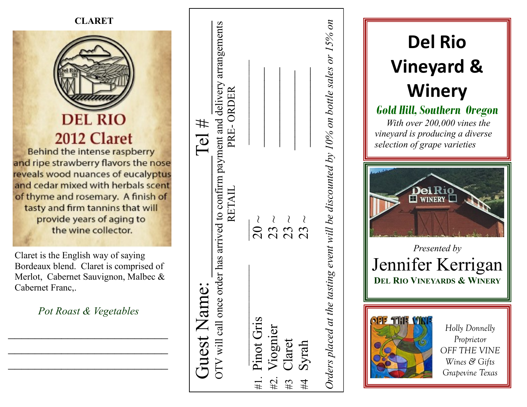

**Del Rio Vineyard & Winery** *Gold Hill, Southern Oregon With over 200,000 vines the vineyard is producing a diverse selection of grape varieties*  **WINERY** *Presented by*  Jennifer Kerrigan **DEL RIO VINEYARDS & WINERY**  $0155$ **THE** *Holly Donnelly Proprietor OFF THE VINE Wines & Gifts Grapevine Texas*